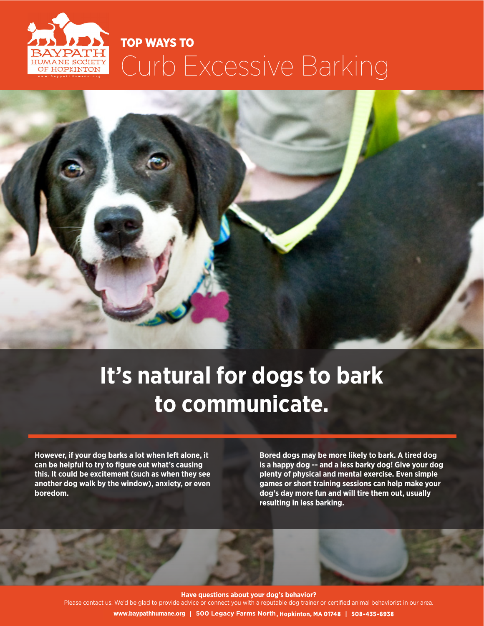# TOP WAYS TO Curb Excessive Barking ANE SOCIET **JE HOPKINTOM**

# **It's natural for dogs to bark to communicate.**

**However, if your dog barks a lot when left alone, it can be helpful to try to figure out what's causing this. It could be excitement (such as when they see another dog walk by the window), anxiety, or even boredom.** 

**Bored dogs may be more likely to bark. A tired dog is a happy dog -- and a less barky dog! Give your dog plenty of physical and mental exercise. Even simple games or short training sessions can help make your dog's day more fun and will tire them out, usually resulting in less barking.**

**Have questions about your dog's behavior?**

Please contact us. We'd be glad to provide advice or connect you with a reputable dog trainer or certified animal behaviorist in our area.

**500 Legacy Farms North www.baypathhumane.org**